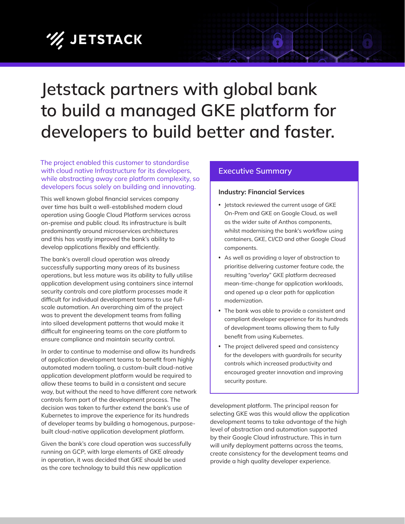# **/// JETSTACK**

## **Jetstack partners with global bank to build a managed GKE platform for developers to build better and faster.**

The project enabled this customer to standardise with cloud native Infrastructure for its developers, while abstracting away core platform complexity, so developers focus solely on building and innovating.

This well known global financial services company over time has built a well-established modern cloud operation using Google Cloud Platform services across on-premise and public cloud. Its infrastructure is built predominantly around microservices architectures and this has vastly improved the bank's ability to develop applications flexibly and efficiently.

The bank's overall cloud operation was already successfully supporting many areas of its business operations, but less mature was its ability to fully utilise application development using containers since internal security controls and core platform processes made it difficult for individual development teams to use fullscale automation. An overarching aim of the project was to prevent the development teams from falling into siloed development patterns that would make it difficult for engineering teams on the core platform to ensure compliance and maintain security control.

In order to continue to modernise and allow its hundreds of application development teams to benefit from highly automated modern tooling, a custom-built cloud-native application development platform would be required to allow these teams to build in a consistent and secure way, but without the need to have different core network controls form part of the development process. The decision was taken to further extend the bank's use of Kubernetes to improve the experience for its hundreds of developer teams by building a homogenous, purposebuilt cloud-native application development platform.

Given the bank's core cloud operation was successfully running on GCP, with large elements of GKE already in operation, it was decided that GKE should be used as the core technology to build this new application

### **Executive Summary**

#### **Industry: Financial Services**

**•** Jetstack reviewed the current usage of GKE On-Prem and GKE on Google Cloud, as well as the wider suite of Anthos components, whilst modernising the bank's workflow using containers, GKE, CI/CD and other Google Cloud components.

 $\mathbf{\Omega}$ 

- **•** As well as providing a layer of abstraction to prioritise delivering customer feature code, the resulting "overlay" GKE platform decreased mean-time-change for application workloads, and opened up a clear path for application modernization.
- **•** The bank was able to provide a consistent and compliant developer experience for its hundreds of development teams allowing them to fully benefit from using Kubernetes.
- **•** The project delivered speed and consistency for the developers with guardrails for security controls which increased productivity and encouraged greater innovation and improving security posture.

development platform. The principal reason for selecting GKE was this would allow the application development teams to take advantage of the high level of abstraction and automation supported by their Google Cloud infrastructure. This in turn will unify deployment patterns across the teams, create consistency for the development teams and provide a high quality developer experience.